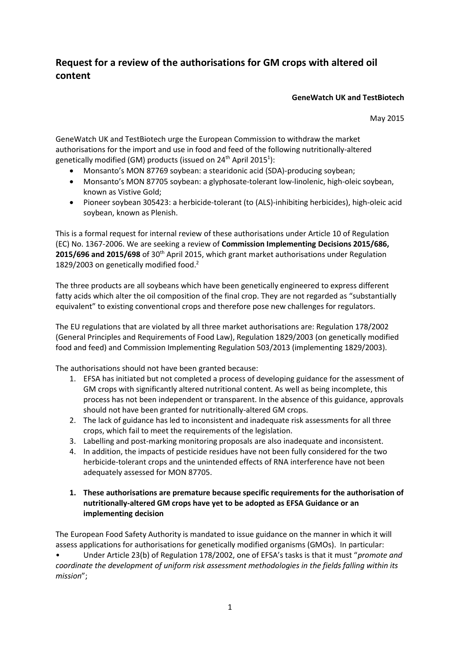# **Request for a review of the authorisations for GM crops with altered oil content**

#### **GeneWatch UK and TestBiotech**

May 2015

GeneWatch UK and TestBiotech urge the European Commission to withdraw the market authorisations for the import and use in food and feed of the following nutritionally-altered genetically modified (GM) products (issued on 24<sup>th</sup> April 2015<sup>1</sup>):

- Monsanto's MON 87769 soybean: a stearidonic acid (SDA)-producing soybean;
- Monsanto's MON 87705 soybean: a glyphosate-tolerant low-linolenic, high-oleic soybean, known as Vistive Gold;
- Pioneer soybean 305423: a herbicide-tolerant (to (ALS)-inhibiting herbicides), high-oleic acid soybean, known as Plenish.

This is a formal request for internal review of these authorisations under Article 10 of Regulation (EC) No. 1367-2006. We are seeking a review of **Commission Implementing Decisions 2015/686, 2015/696 and 2015/698** of 30th April 2015, which grant market authorisations under Regulation 1829/2003 on genetically modified food. 2

The three products are all soybeans which have been genetically engineered to express different fatty acids which alter the oil composition of the final crop. They are not regarded as "substantially equivalent" to existing conventional crops and therefore pose new challenges for regulators.

The EU regulations that are violated by all three market authorisations are: Regulation 178/2002 (General Principles and Requirements of Food Law), Regulation 1829/2003 (on genetically modified food and feed) and Commission Implementing Regulation 503/2013 (implementing 1829/2003).

The authorisations should not have been granted because:

- 1. EFSA has initiated but not completed a process of developing guidance for the assessment of GM crops with significantly altered nutritional content. As well as being incomplete, this process has not been independent or transparent. In the absence of this guidance, approvals should not have been granted for nutritionally-altered GM crops.
- 2. The lack of guidance has led to inconsistent and inadequate risk assessments for all three crops, which fail to meet the requirements of the legislation.
- 3. Labelling and post-marking monitoring proposals are also inadequate and inconsistent.
- 4. In addition, the impacts of pesticide residues have not been fully considered for the two herbicide-tolerant crops and the unintended effects of RNA interference have not been adequately assessed for MON 87705.
- **1. These authorisations are premature because specific requirements for the authorisation of nutritionally-altered GM crops have yet to be adopted as EFSA Guidance or an implementing decision**

The European Food Safety Authority is mandated to issue guidance on the manner in which it will assess applications for authorisations for genetically modified organisms (GMOs). In particular: • Under Article 23(b) of Regulation 178/2002, one of EFSA's tasks is that it must "*promote and coordinate the development of uniform risk assessment methodologies in the fields falling within its mission*";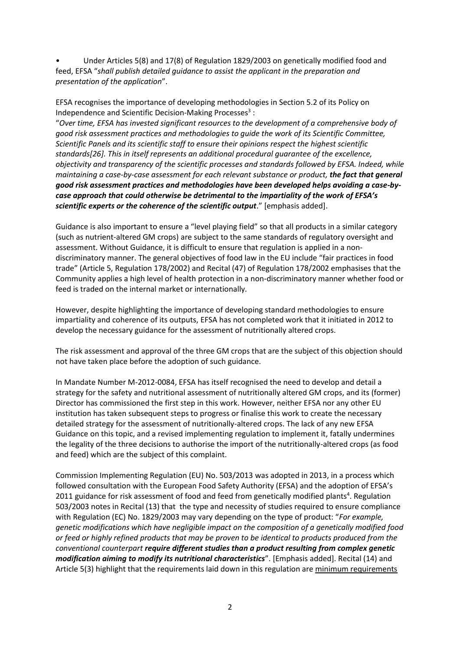• Under Articles 5(8) and 17(8) of Regulation 1829/2003 on genetically modified food and feed, EFSA "*shall publish detailed guidance to assist the applicant in the preparation and presentation of the application*".

EFSA recognises the importance of developing methodologies in Section 5.2 of its Policy on Independence and Scientific Decision-Making Processes<sup>3</sup>:

"*Over time, EFSA has invested significant resources to the development of a comprehensive body of good risk assessment practices and methodologies to guide the work of its Scientific Committee, Scientific Panels and its scientific staff to ensure their opinions respect the highest scientific standards[26]. This in itself represents an additional procedural guarantee of the excellence, objectivity and transparency of the scientific processes and standards followed by EFSA. Indeed, while maintaining a case-by-case assessment for each relevant substance or product, the fact that general good risk assessment practices and methodologies have been developed helps avoiding a case-bycase approach that could otherwise be detrimental to the impartiality of the work of EFSA's scientific experts or the coherence of the scientific output*." [emphasis added].

Guidance is also important to ensure a "level playing field" so that all products in a similar category (such as nutrient-altered GM crops) are subject to the same standards of regulatory oversight and assessment. Without Guidance, it is difficult to ensure that regulation is applied in a nondiscriminatory manner. The general objectives of food law in the EU include "fair practices in food trade" (Article 5, Regulation 178/2002) and Recital (47) of Regulation 178/2002 emphasises that the Community applies a high level of health protection in a non-discriminatory manner whether food or feed is traded on the internal market or internationally.

However, despite highlighting the importance of developing standard methodologies to ensure impartiality and coherence of its outputs, EFSA has not completed work that it initiated in 2012 to develop the necessary guidance for the assessment of nutritionally altered crops.

The risk assessment and approval of the three GM crops that are the subject of this objection should not have taken place before the adoption of such guidance.

In Mandate Number M-2012-0084, EFSA has itself recognised the need to develop and detail a strategy for the safety and nutritional assessment of nutritionally altered GM crops, and its (former) Director has commissioned the first step in this work. However, neither EFSA nor any other EU institution has taken subsequent steps to progress or finalise this work to create the necessary detailed strategy for the assessment of nutritionally-altered crops. The lack of any new EFSA Guidance on this topic, and a revised implementing regulation to implement it, fatally undermines the legality of the three decisions to authorise the import of the nutritionally-altered crops (as food and feed) which are the subject of this complaint.

Commission Implementing Regulation (EU) No. 503/2013 was adopted in 2013, in a process which followed consultation with the European Food Safety Authority (EFSA) and the adoption of EFSA's 2011 guidance for risk assessment of food and feed from genetically modified plants<sup>4</sup>. Regulation 503/2003 notes in Recital (13) that the type and necessity of studies required to ensure compliance with Regulation (EC) No. 1829/2003 may vary depending on the type of product: "*For example, genetic modifications which have negligible impact on the composition of a genetically modified food or feed or highly refined products that may be proven to be identical to products produced from the conventional counterpart require different studies than a product resulting from complex genetic modification aiming to modify its nutritional characteristics*". [Emphasis added]. Recital (14) and Article 5(3) highlight that the requirements laid down in this regulation are minimum requirements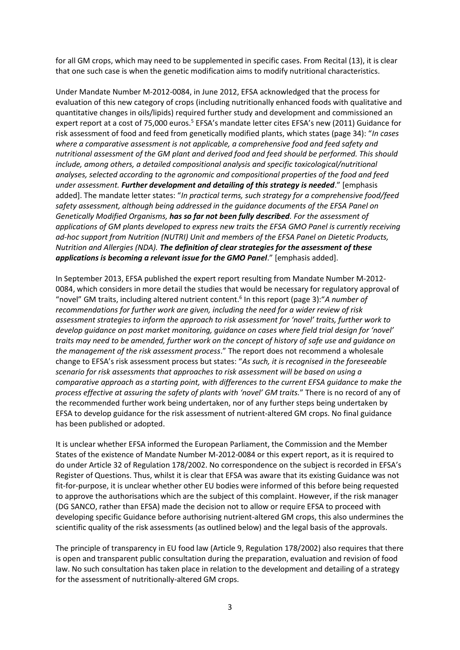for all GM crops, which may need to be supplemented in specific cases. From Recital (13), it is clear that one such case is when the genetic modification aims to modify nutritional characteristics.

Under Mandate Number M-2012-0084, in June 2012, EFSA acknowledged that the process for evaluation of this new category of crops (including nutritionally enhanced foods with qualitative and quantitative changes in oils/lipids) required further study and development and commissioned an expert report at a cost of 75,000 euros.<sup>5</sup> EFSA's mandate letter cites EFSA's new (2011) Guidance for risk assessment of food and feed from genetically modified plants, which states (page 34): "*In cases where a comparative assessment is not applicable, a comprehensive food and feed safety and nutritional assessment of the GM plant and derived food and feed should be performed. This should include, among others, a detailed compositional analysis and specific toxicological/nutritional analyses, selected according to the agronomic and compositional properties of the food and feed under assessment. Further development and detailing of this strategy is needed*." [emphasis added]. The mandate letter states: "*In practical terms, such strategy for a comprehensive food/feed safety assessment, although being addressed in the guidance documents of the EFSA Panel on Genetically Modified Organisms, has so far not been fully described. For the assessment of applications of GM plants developed to express new traits the EFSA GMO Panel is currently receiving ad-hoc support from Nutrition (NUTRI) Unit and members of the EFSA Panel on Dietetic Products, Nutrition and Allergies (NDA). The definition of clear strategies for the assessment of these applications is becoming a relevant issue for the GMO Panel*." [emphasis added].

In September 2013, EFSA published the expert report resulting from Mandate Number M-2012- 0084, which considers in more detail the studies that would be necessary for regulatory approval of "novel" GM traits, including altered nutrient content.<sup>6</sup> In this report (page 3): "A number of *recommendations for further work are given, including the need for a wider review of risk assessment strategies to inform the approach to risk assessment for 'novel' traits, further work to develop guidance on post market monitoring, guidance on cases where field trial design for 'novel' traits may need to be amended, further work on the concept of history of safe use and guidance on the management of the risk assessment process*." The report does not recommend a wholesale change to EFSA's risk assessment process but states: "*As such, it is recognised in the foreseeable scenario for risk assessments that approaches to risk assessment will be based on using a comparative approach as a starting point, with differences to the current EFSA guidance to make the process effective at assuring the safety of plants with 'novel' GM traits.*" There is no record of any of the recommended further work being undertaken, nor of any further steps being undertaken by EFSA to develop guidance for the risk assessment of nutrient-altered GM crops. No final guidance has been published or adopted.

It is unclear whether EFSA informed the European Parliament, the Commission and the Member States of the existence of Mandate Number M-2012-0084 or this expert report, as it is required to do under Article 32 of Regulation 178/2002. No correspondence on the subject is recorded in EFSA's Register of Questions. Thus, whilst it is clear that EFSA was aware that its existing Guidance was not fit-for-purpose, it is unclear whether other EU bodies were informed of this before being requested to approve the authorisations which are the subject of this complaint. However, if the risk manager (DG SANCO, rather than EFSA) made the decision not to allow or require EFSA to proceed with developing specific Guidance before authorising nutrient-altered GM crops, this also undermines the scientific quality of the risk assessments (as outlined below) and the legal basis of the approvals.

The principle of transparency in EU food law (Article 9, Regulation 178/2002) also requires that there is open and transparent public consultation during the preparation, evaluation and revision of food law. No such consultation has taken place in relation to the development and detailing of a strategy for the assessment of nutritionally-altered GM crops.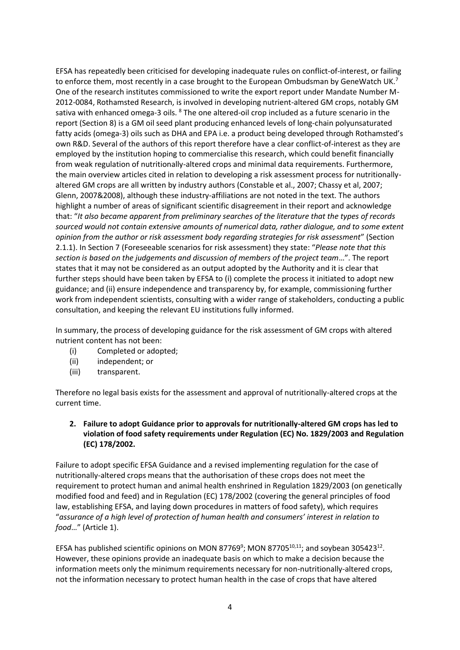EFSA has repeatedly been criticised for developing inadequate rules on conflict-of-interest, or failing to enforce them, most recently in a case brought to the European Ombudsman by GeneWatch UK.<sup>7</sup> One of the research institutes commissioned to write the export report under Mandate Number M-2012-0084, Rothamsted Research, is involved in developing nutrient-altered GM crops, notably GM sativa with enhanced omega-3 oils. <sup>8</sup> The one altered-oil crop included as a future scenario in the report (Section 8) is a GM oil seed plant producing enhanced levels of long-chain polyunsaturated fatty acids (omega-3) oils such as DHA and EPA i.e. a product being developed through Rothamsted's own R&D. Several of the authors of this report therefore have a clear conflict-of-interest as they are employed by the institution hoping to commercialise this research, which could benefit financially from weak regulation of nutritionally-altered crops and minimal data requirements. Furthermore, the main overview articles cited in relation to developing a risk assessment process for nutritionallyaltered GM crops are all written by industry authors (Constable et al., 2007; Chassy et al, 2007; Glenn, 2007&2008), although these industry-affiliations are not noted in the text. The authors highlight a number of areas of significant scientific disagreement in their report and acknowledge that: "*It also became apparent from preliminary searches of the literature that the types of records sourced would not contain extensive amounts of numerical data, rather dialogue, and to some extent opinion from the author or risk assessment body regarding strategies for risk assessment*" (Section 2.1.1). In Section 7 (Foreseeable scenarios for risk assessment) they state: "*Please note that this section is based on the judgements and discussion of members of the project team*…". The report states that it may not be considered as an output adopted by the Authority and it is clear that further steps should have been taken by EFSA to (i) complete the process it initiated to adopt new guidance; and (ii) ensure independence and transparency by, for example, commissioning further work from independent scientists, consulting with a wider range of stakeholders, conducting a public consultation, and keeping the relevant EU institutions fully informed.

In summary, the process of developing guidance for the risk assessment of GM crops with altered nutrient content has not been:

- (i) Completed or adopted;
- (ii) independent; or
- (iii) transparent.

Therefore no legal basis exists for the assessment and approval of nutritionally-altered crops at the current time.

# **2. Failure to adopt Guidance prior to approvals for nutritionally-altered GM crops has led to violation of food safety requirements under Regulation (EC) No. 1829/2003 and Regulation (EC) 178/2002.**

Failure to adopt specific EFSA Guidance and a revised implementing regulation for the case of nutritionally-altered crops means that the authorisation of these crops does not meet the requirement to protect human and animal health enshrined in Regulation 1829/2003 (on genetically modified food and feed) and in Regulation (EC) 178/2002 (covering the general principles of food law, establishing EFSA, and laying down procedures in matters of food safety), which requires "*assurance of a high level of protection of human health and consumers' interest in relation to food*…" (Article 1).

EFSA has published scientific opinions on MON 87769<sup>9</sup>; MON 87705<sup>10,11</sup>; and soybean 305423<sup>12</sup>. However, these opinions provide an inadequate basis on which to make a decision because the information meets only the minimum requirements necessary for non-nutritionally-altered crops, not the information necessary to protect human health in the case of crops that have altered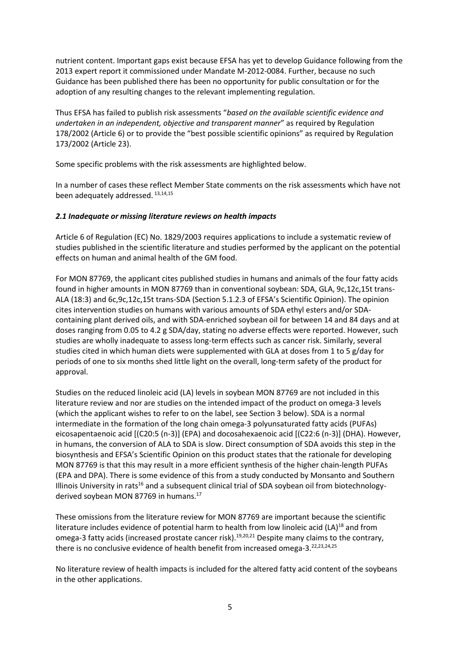nutrient content. Important gaps exist because EFSA has yet to develop Guidance following from the 2013 expert report it commissioned under Mandate M-2012-0084. Further, because no such Guidance has been published there has been no opportunity for public consultation or for the adoption of any resulting changes to the relevant implementing regulation.

Thus EFSA has failed to publish risk assessments "*based on the available scientific evidence and undertaken in an independent, objective and transparent manner*" as required by Regulation 178/2002 (Article 6) or to provide the "best possible scientific opinions" as required by Regulation 173/2002 (Article 23).

Some specific problems with the risk assessments are highlighted below.

In a number of cases these reflect Member State comments on the risk assessments which have not been adequately addressed. 13,14,15

#### *2.1 Inadequate or missing literature reviews on health impacts*

Article 6 of Regulation (EC) No. 1829/2003 requires applications to include a systematic review of studies published in the scientific literature and studies performed by the applicant on the potential effects on human and animal health of the GM food.

For MON 87769, the applicant cites published studies in humans and animals of the four fatty acids found in higher amounts in MON 87769 than in conventional soybean: SDA, GLA, 9c,12c,15t trans-ALA (18:3) and 6c,9c,12c,15t trans-SDA (Section 5.1.2.3 of EFSA's Scientific Opinion). The opinion cites intervention studies on humans with various amounts of SDA ethyl esters and/or SDAcontaining plant derived oils, and with SDA-enriched soybean oil for between 14 and 84 days and at doses ranging from 0.05 to 4.2 g SDA/day, stating no adverse effects were reported. However, such studies are wholly inadequate to assess long-term effects such as cancer risk. Similarly, several studies cited in which human diets were supplemented with GLA at doses from 1 to 5 g/day for periods of one to six months shed little light on the overall, long-term safety of the product for approval.

Studies on the reduced linoleic acid (LA) levels in soybean MON 87769 are not included in this literature review and nor are studies on the intended impact of the product on omega-3 levels (which the applicant wishes to refer to on the label, see Section 3 below). SDA is a normal intermediate in the formation of the long chain omega-3 polyunsaturated fatty acids (PUFAs) eicosapentaenoic acid [(C20:5 (n-3)] (EPA) and docosahexaenoic acid [(C22:6 (n-3)] (DHA). However, in humans, the conversion of ALA to SDA is slow. Direct consumption of SDA avoids this step in the biosynthesis and EFSA's Scientific Opinion on this product states that the rationale for developing MON 87769 is that this may result in a more efficient synthesis of the higher chain-length PUFAs (EPA and DPA). There is some evidence of this from a study conducted by Monsanto and Southern Illinois University in rats<sup>16</sup> and a subsequent clinical trial of SDA soybean oil from biotechnologyderived soybean MON 87769 in humans.<sup>17</sup>

These omissions from the literature review for MON 87769 are important because the scientific literature includes evidence of potential harm to health from low linoleic acid (LA)<sup>18</sup> and from omega-3 fatty acids (increased prostate cancer risk).<sup>19,20,21</sup> Despite many claims to the contrary, there is no conclusive evidence of health benefit from increased omega-3.<sup>22,23,24,25</sup>

No literature review of health impacts is included for the altered fatty acid content of the soybeans in the other applications.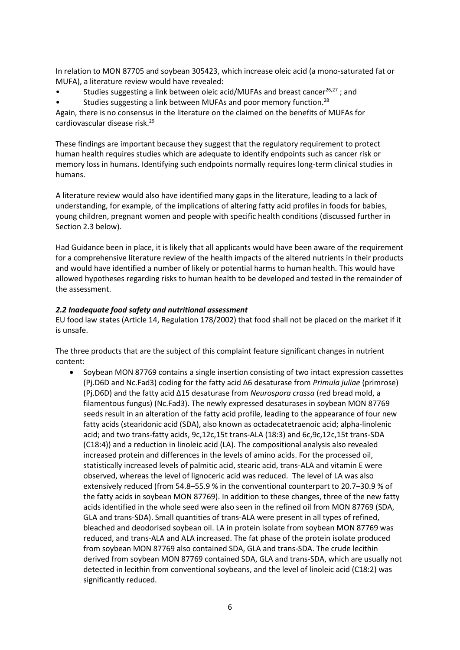In relation to MON 87705 and soybean 305423, which increase oleic acid (a mono-saturated fat or MUFA), a literature review would have revealed:

Studies suggesting a link between oleic acid/MUFAs and breast cancer<sup>26,27</sup>; and

Studies suggesting a link between MUFAs and poor memory function.<sup>28</sup>

Again, there is no consensus in the literature on the claimed on the benefits of MUFAs for cardiovascular disease risk. 29

These findings are important because they suggest that the regulatory requirement to protect human health requires studies which are adequate to identify endpoints such as cancer risk or memory loss in humans. Identifying such endpoints normally requires long-term clinical studies in humans.

A literature review would also have identified many gaps in the literature, leading to a lack of understanding, for example, of the implications of altering fatty acid profiles in foods for babies, young children, pregnant women and people with specific health conditions (discussed further in Section 2.3 below).

Had Guidance been in place, it is likely that all applicants would have been aware of the requirement for a comprehensive literature review of the health impacts of the altered nutrients in their products and would have identified a number of likely or potential harms to human health. This would have allowed hypotheses regarding risks to human health to be developed and tested in the remainder of the assessment.

#### *2.2 Inadequate food safety and nutritional assessment*

EU food law states (Article 14, Regulation 178/2002) that food shall not be placed on the market if it is unsafe.

The three products that are the subject of this complaint feature significant changes in nutrient content:

 Soybean MON 87769 contains a single insertion consisting of two intact expression cassettes (Pj.D6D and Nc.Fad3) coding for the fatty acid Δ6 desaturase from *Primula juliae* (primrose) (Pj.D6D) and the fatty acid Δ15 desaturase from *Neurospora crassa* (red bread mold, a filamentous fungus) (Nc.Fad3). The newly expressed desaturases in soybean MON 87769 seeds result in an alteration of the fatty acid profile, leading to the appearance of four new fatty acids (stearidonic acid (SDA), also known as octadecatetraenoic acid; alpha-linolenic acid; and two trans-fatty acids, 9c,12c,15t trans-ALA (18:3) and 6c,9c,12c,15t trans-SDA (C18:4)) and a reduction in linoleic acid (LA). The compositional analysis also revealed increased protein and differences in the levels of amino acids. For the processed oil, statistically increased levels of palmitic acid, stearic acid, trans-ALA and vitamin E were observed, whereas the level of lignoceric acid was reduced. The level of LA was also extensively reduced (from 54.8–55.9 % in the conventional counterpart to 20.7–30.9 % of the fatty acids in soybean MON 87769). In addition to these changes, three of the new fatty acids identified in the whole seed were also seen in the refined oil from MON 87769 (SDA, GLA and trans-SDA). Small quantities of trans-ALA were present in all types of refined, bleached and deodorised soybean oil. LA in protein isolate from soybean MON 87769 was reduced, and trans-ALA and ALA increased. The fat phase of the protein isolate produced from soybean MON 87769 also contained SDA, GLA and trans-SDA. The crude lecithin derived from soybean MON 87769 contained SDA, GLA and trans-SDA, which are usually not detected in lecithin from conventional soybeans, and the level of linoleic acid (C18:2) was significantly reduced.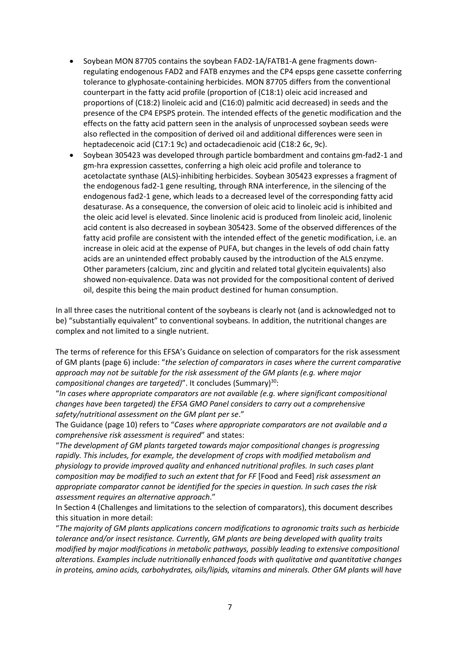- Soybean MON 87705 contains the soybean FAD2-1A/FATB1-A gene fragments downregulating endogenous FAD2 and FATB enzymes and the CP4 epsps gene cassette conferring tolerance to glyphosate-containing herbicides. MON 87705 differs from the conventional counterpart in the fatty acid profile (proportion of (C18:1) oleic acid increased and proportions of (C18:2) linoleic acid and (C16:0) palmitic acid decreased) in seeds and the presence of the CP4 EPSPS protein. The intended effects of the genetic modification and the effects on the fatty acid pattern seen in the analysis of unprocessed soybean seeds were also reflected in the composition of derived oil and additional differences were seen in heptadecenoic acid (C17:1 9c) and octadecadienoic acid (C18:2 6c, 9c).
- Soybean 305423 was developed through particle bombardment and contains gm-fad2-1 and gm-hra expression cassettes, conferring a high oleic acid profile and tolerance to acetolactate synthase (ALS)-inhibiting herbicides. Soybean 305423 expresses a fragment of the endogenous fad2-1 gene resulting, through RNA interference, in the silencing of the endogenous fad2-1 gene, which leads to a decreased level of the corresponding fatty acid desaturase. As a consequence, the conversion of oleic acid to linoleic acid is inhibited and the oleic acid level is elevated. Since linolenic acid is produced from linoleic acid, linolenic acid content is also decreased in soybean 305423. Some of the observed differences of the fatty acid profile are consistent with the intended effect of the genetic modification, i.e. an increase in oleic acid at the expense of PUFA, but changes in the levels of odd chain fatty acids are an unintended effect probably caused by the introduction of the ALS enzyme. Other parameters (calcium, zinc and glycitin and related total glycitein equivalents) also showed non-equivalence. Data was not provided for the compositional content of derived oil, despite this being the main product destined for human consumption.

In all three cases the nutritional content of the soybeans is clearly not (and is acknowledged not to be) "substantially equivalent" to conventional soybeans. In addition, the nutritional changes are complex and not limited to a single nutrient.

The terms of reference for this EFSA's Guidance on selection of comparators for the risk assessment of GM plants (page 6) include: "*the selection of comparators in cases where the current comparative approach may not be suitable for the risk assessment of the GM plants (e.g. where major compositional changes are targeted)*". It concludes (Summary)<sup>30</sup>:

"*In cases where appropriate comparators are not available (e.g. where significant compositional changes have been targeted) the EFSA GMO Panel considers to carry out a comprehensive safety/nutritional assessment on the GM plant per se*."

The Guidance (page 10) refers to "*Cases where appropriate comparators are not available and a comprehensive risk assessment is required*" and states:

"*The development of GM plants targeted towards major compositional changes is progressing rapidly. This includes, for example, the development of crops with modified metabolism and physiology to provide improved quality and enhanced nutritional profiles. In such cases plant composition may be modified to such an extent that for FF* [Food and Feed] *risk assessment an appropriate comparator cannot be identified for the species in question. In such cases the risk assessment requires an alternative approach*."

In Section 4 (Challenges and limitations to the selection of comparators), this document describes this situation in more detail:

"*The majority of GM plants applications concern modifications to agronomic traits such as herbicide tolerance and/or insect resistance. Currently, GM plants are being developed with quality traits modified by major modifications in metabolic pathways, possibly leading to extensive compositional alterations. Examples include nutritionally enhanced foods with qualitative and quantitative changes in proteins, amino acids, carbohydrates, oils/lipids, vitamins and minerals. Other GM plants will have*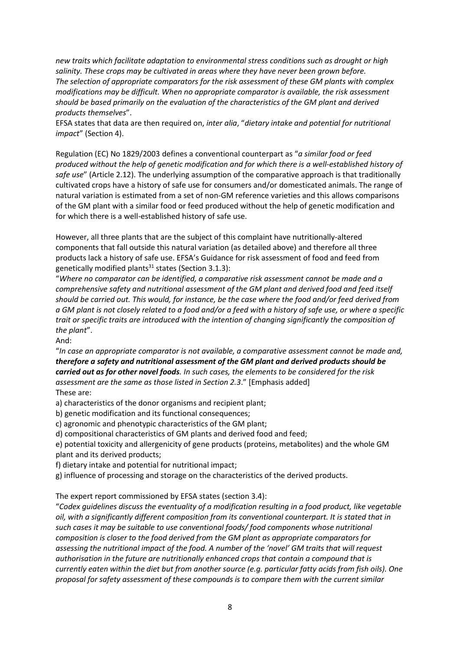*new traits which facilitate adaptation to environmental stress conditions such as drought or high salinity. These crops may be cultivated in areas where they have never been grown before. The selection of appropriate comparators for the risk assessment of these GM plants with complex modifications may be difficult. When no appropriate comparator is available, the risk assessment should be based primarily on the evaluation of the characteristics of the GM plant and derived products themselves*".

EFSA states that data are then required on, *inter alia*, "*dietary intake and potential for nutritional impact*" (Section 4).

Regulation (EC) No 1829/2003 defines a conventional counterpart as "*a similar food or feed produced without the help of genetic modification and for which there is a well-established history of safe use*" (Article 2.12). The underlying assumption of the comparative approach is that traditionally cultivated crops have a history of safe use for consumers and/or domesticated animals. The range of natural variation is estimated from a set of non-GM reference varieties and this allows comparisons of the GM plant with a similar food or feed produced without the help of genetic modification and for which there is a well-established history of safe use.

However, all three plants that are the subject of this complaint have nutritionally-altered components that fall outside this natural variation (as detailed above) and therefore all three products lack a history of safe use. EFSA's Guidance for risk assessment of food and feed from genetically modified plants<sup>31</sup> states (Section 3.1.3):

"*Where no comparator can be identified, a comparative risk assessment cannot be made and a comprehensive safety and nutritional assessment of the GM plant and derived food and feed itself should be carried out. This would, for instance, be the case where the food and/or feed derived from a GM plant is not closely related to a food and/or a feed with a history of safe use, or where a specific trait or specific traits are introduced with the intention of changing significantly the composition of the plant*".

And:

"*In case an appropriate comparator is not available, a comparative assessment cannot be made and, therefore a safety and nutritional assessment of the GM plant and derived products should be carried out as for other novel foods. In such cases, the elements to be considered for the risk assessment are the same as those listed in Section 2.3*." [Emphasis added] These are:

a) characteristics of the donor organisms and recipient plant;

b) genetic modification and its functional consequences;

c) agronomic and phenotypic characteristics of the GM plant;

d) compositional characteristics of GM plants and derived food and feed;

e) potential toxicity and allergenicity of gene products (proteins, metabolites) and the whole GM plant and its derived products;

f) dietary intake and potential for nutritional impact;

g) influence of processing and storage on the characteristics of the derived products.

The expert report commissioned by EFSA states (section 3.4):

"*Codex guidelines discuss the eventuality of a modification resulting in a food product, like vegetable oil, with a significantly different composition from its conventional counterpart. It is stated that in such cases it may be suitable to use conventional foods/ food components whose nutritional composition is closer to the food derived from the GM plant as appropriate comparators for assessing the nutritional impact of the food. A number of the 'novel' GM traits that will request authorisation in the future are nutritionally enhanced crops that contain a compound that is currently eaten within the diet but from another source (e.g. particular fatty acids from fish oils). One proposal for safety assessment of these compounds is to compare them with the current similar*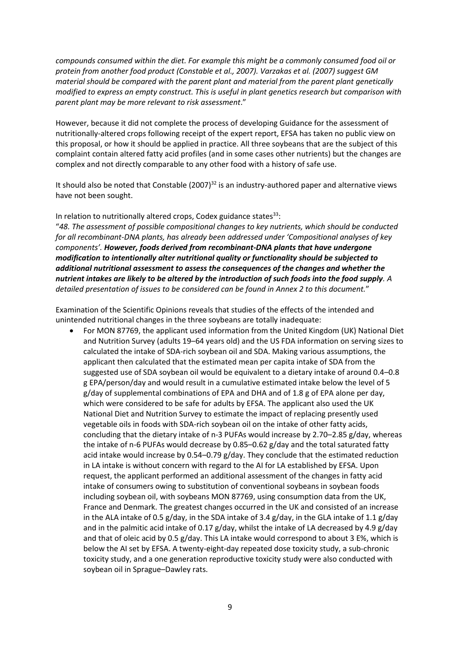*compounds consumed within the diet. For example this might be a commonly consumed food oil or protein from another food product (Constable et al., 2007). Varzakas et al. (2007) suggest GM material should be compared with the parent plant and material from the parent plant genetically modified to express an empty construct. This is useful in plant genetics research but comparison with parent plant may be more relevant to risk assessment*."

However, because it did not complete the process of developing Guidance for the assessment of nutritionally-altered crops following receipt of the expert report, EFSA has taken no public view on this proposal, or how it should be applied in practice. All three soybeans that are the subject of this complaint contain altered fatty acid profiles (and in some cases other nutrients) but the changes are complex and not directly comparable to any other food with a history of safe use.

It should also be noted that Constable  $(2007)^{32}$  is an industry-authored paper and alternative views have not been sought.

In relation to nutritionally altered crops, Codex guidance states  $33$ :

"*48. The assessment of possible compositional changes to key nutrients, which should be conducted for all recombinant-DNA plants, has already been addressed under 'Compositional analyses of key components'. However, foods derived from recombinant-DNA plants that have undergone modification to intentionally alter nutritional quality or functionality should be subjected to additional nutritional assessment to assess the consequences of the changes and whether the nutrient intakes are likely to be altered by the introduction of such foods into the food supply. A detailed presentation of issues to be considered can be found in Annex 2 to this document.*"

Examination of the Scientific Opinions reveals that studies of the effects of the intended and unintended nutritional changes in the three soybeans are totally inadequate:

 For MON 87769, the applicant used information from the United Kingdom (UK) National Diet and Nutrition Survey (adults 19–64 years old) and the US FDA information on serving sizes to calculated the intake of SDA-rich soybean oil and SDA. Making various assumptions, the applicant then calculated that the estimated mean per capita intake of SDA from the suggested use of SDA soybean oil would be equivalent to a dietary intake of around 0.4–0.8 g EPA/person/day and would result in a cumulative estimated intake below the level of 5 g/day of supplemental combinations of EPA and DHA and of 1.8 g of EPA alone per day, which were considered to be safe for adults by EFSA. The applicant also used the UK National Diet and Nutrition Survey to estimate the impact of replacing presently used vegetable oils in foods with SDA-rich soybean oil on the intake of other fatty acids, concluding that the dietary intake of n-3 PUFAs would increase by 2.70–2.85 g/day, whereas the intake of n-6 PUFAs would decrease by 0.85–0.62 g/day and the total saturated fatty acid intake would increase by 0.54–0.79  $g$ /day. They conclude that the estimated reduction in LA intake is without concern with regard to the AI for LA established by EFSA. Upon request, the applicant performed an additional assessment of the changes in fatty acid intake of consumers owing to substitution of conventional soybeans in soybean foods including soybean oil, with soybeans MON 87769, using consumption data from the UK, France and Denmark. The greatest changes occurred in the UK and consisted of an increase in the ALA intake of 0.5 g/day, in the SDA intake of 3.4 g/day, in the GLA intake of 1.1 g/day and in the palmitic acid intake of 0.17  $g$ /day, whilst the intake of LA decreased by 4.9  $g$ /day and that of oleic acid by 0.5 g/day. This LA intake would correspond to about 3 E%, which is below the AI set by EFSA. A twenty-eight-day repeated dose toxicity study, a sub-chronic toxicity study, and a one generation reproductive toxicity study were also conducted with soybean oil in Sprague–Dawley rats.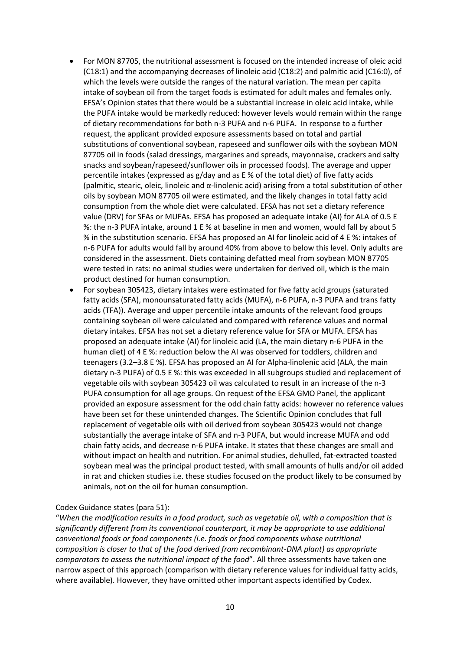- For MON 87705, the nutritional assessment is focused on the intended increase of oleic acid (C18:1) and the accompanying decreases of linoleic acid (C18:2) and palmitic acid (C16:0), of which the levels were outside the ranges of the natural variation. The mean per capita intake of soybean oil from the target foods is estimated for adult males and females only. EFSA's Opinion states that there would be a substantial increase in oleic acid intake, while the PUFA intake would be markedly reduced: however levels would remain within the range of dietary recommendations for both n-3 PUFA and n-6 PUFA. In response to a further request, the applicant provided exposure assessments based on total and partial substitutions of conventional soybean, rapeseed and sunflower oils with the soybean MON 87705 oil in foods (salad dressings, margarines and spreads, mayonnaise, crackers and salty snacks and soybean/rapeseed/sunflower oils in processed foods). The average and upper percentile intakes (expressed as g/day and as E % of the total diet) of five fatty acids (palmitic, stearic, oleic, linoleic and α-linolenic acid) arising from a total substitution of other oils by soybean MON 87705 oil were estimated, and the likely changes in total fatty acid consumption from the whole diet were calculated. EFSA has not set a dietary reference value (DRV) for SFAs or MUFAs. EFSA has proposed an adequate intake (AI) for ALA of 0.5 E %: the n-3 PUFA intake, around 1 E % at baseline in men and women, would fall by about 5 % in the substitution scenario. EFSA has proposed an AI for linoleic acid of 4 E %: intakes of n-6 PUFA for adults would fall by around 40% from above to below this level. Only adults are considered in the assessment. Diets containing defatted meal from soybean MON 87705 were tested in rats: no animal studies were undertaken for derived oil, which is the main product destined for human consumption.
- For soybean 305423, dietary intakes were estimated for five fatty acid groups (saturated fatty acids (SFA), monounsaturated fatty acids (MUFA), n-6 PUFA, n-3 PUFA and trans fatty acids (TFA)). Average and upper percentile intake amounts of the relevant food groups containing soybean oil were calculated and compared with reference values and normal dietary intakes. EFSA has not set a dietary reference value for SFA or MUFA. EFSA has proposed an adequate intake (AI) for linoleic acid (LA, the main dietary n-6 PUFA in the human diet) of 4 E %: reduction below the AI was observed for toddlers, children and teenagers (3.2–3.8 E %). EFSA has proposed an AI for Alpha-linolenic acid (ALA, the main dietary n-3 PUFA) of 0.5 E %: this was exceeded in all subgroups studied and replacement of vegetable oils with soybean 305423 oil was calculated to result in an increase of the n-3 PUFA consumption for all age groups. On request of the EFSA GMO Panel, the applicant provided an exposure assessment for the odd chain fatty acids: however no reference values have been set for these unintended changes. The Scientific Opinion concludes that full replacement of vegetable oils with oil derived from soybean 305423 would not change substantially the average intake of SFA and n-3 PUFA, but would increase MUFA and odd chain fatty acids, and decrease n-6 PUFA intake. It states that these changes are small and without impact on health and nutrition. For animal studies, dehulled, fat-extracted toasted soybean meal was the principal product tested, with small amounts of hulls and/or oil added in rat and chicken studies i.e. these studies focused on the product likely to be consumed by animals, not on the oil for human consumption.

#### Codex Guidance states (para 51):

"*When the modification results in a food product, such as vegetable oil, with a composition that is significantly different from its conventional counterpart, it may be appropriate to use additional conventional foods or food components (i.e. foods or food components whose nutritional composition is closer to that of the food derived from recombinant-DNA plant) as appropriate comparators to assess the nutritional impact of the food*". All three assessments have taken one narrow aspect of this approach (comparison with dietary reference values for individual fatty acids, where available). However, they have omitted other important aspects identified by Codex.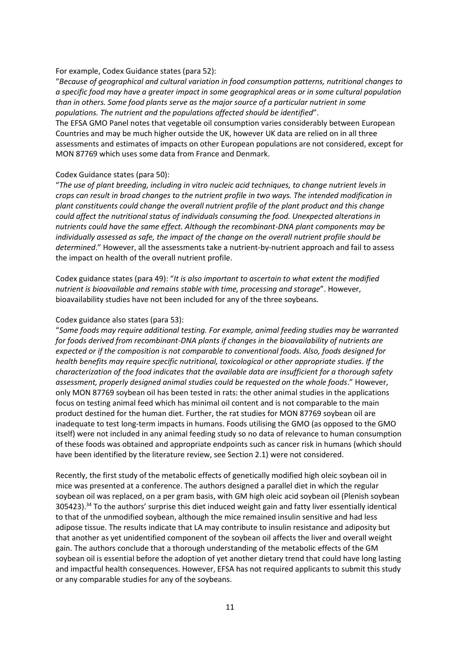#### For example, Codex Guidance states (para 52):

"*Because of geographical and cultural variation in food consumption patterns, nutritional changes to a specific food may have a greater impact in some geographical areas or in some cultural population than in others. Some food plants serve as the major source of a particular nutrient in some populations. The nutrient and the populations affected should be identified*".

The EFSA GMO Panel notes that vegetable oil consumption varies considerably between European Countries and may be much higher outside the UK, however UK data are relied on in all three assessments and estimates of impacts on other European populations are not considered, except for MON 87769 which uses some data from France and Denmark.

#### Codex Guidance states (para 50):

"*The use of plant breeding, including in vitro nucleic acid techniques, to change nutrient levels in crops can result in broad changes to the nutrient profile in two ways. The intended modification in plant constituents could change the overall nutrient profile of the plant product and this change could affect the nutritional status of individuals consuming the food. Unexpected alterations in nutrients could have the same effect. Although the recombinant-DNA plant components may be individually assessed as safe, the impact of the change on the overall nutrient profile should be determined*." However, all the assessments take a nutrient-by-nutrient approach and fail to assess the impact on health of the overall nutrient profile.

Codex guidance states (para 49): "*It is also important to ascertain to what extent the modified nutrient is bioavailable and remains stable with time, processing and storage*". However, bioavailability studies have not been included for any of the three soybeans.

#### Codex guidance also states (para 53):

"*Some foods may require additional testing. For example, animal feeding studies may be warranted for foods derived from recombinant-DNA plants if changes in the bioavailability of nutrients are expected or if the composition is not comparable to conventional foods. Also, foods designed for health benefits may require specific nutritional, toxicological or other appropriate studies. If the characterization of the food indicates that the available data are insufficient for a thorough safety assessment, properly designed animal studies could be requested on the whole foods*." However, only MON 87769 soybean oil has been tested in rats: the other animal studies in the applications focus on testing animal feed which has minimal oil content and is not comparable to the main product destined for the human diet. Further, the rat studies for MON 87769 soybean oil are inadequate to test long-term impacts in humans. Foods utilising the GMO (as opposed to the GMO itself) were not included in any animal feeding study so no data of relevance to human consumption of these foods was obtained and appropriate endpoints such as cancer risk in humans (which should have been identified by the literature review, see Section 2.1) were not considered.

Recently, the first study of the metabolic effects of genetically modified high oleic soybean oil in mice was presented at a conference. The authors designed a parallel diet in which the regular soybean oil was replaced, on a per gram basis, with GM high oleic acid soybean oil (Plenish soybean 305423).<sup>34</sup> To the authors' surprise this diet induced weight gain and fatty liver essentially identical to that of the unmodified soybean, although the mice remained insulin sensitive and had less adipose tissue. The results indicate that LA may contribute to insulin resistance and adiposity but that another as yet unidentified component of the soybean oil affects the liver and overall weight gain. The authors conclude that a thorough understanding of the metabolic effects of the GM soybean oil is essential before the adoption of yet another dietary trend that could have long lasting and impactful health consequences. However, EFSA has not required applicants to submit this study or any comparable studies for any of the soybeans.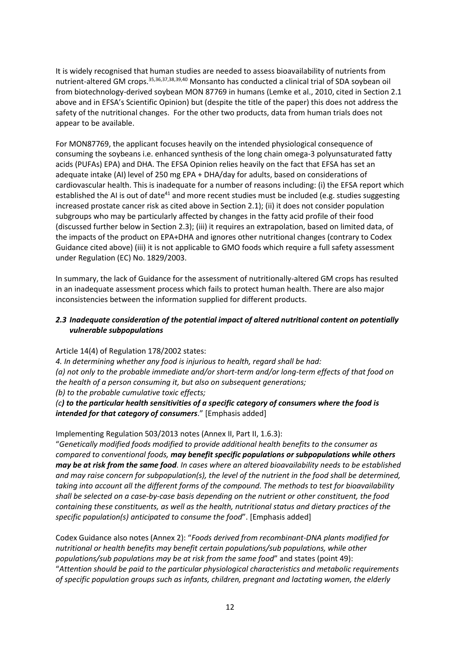It is widely recognised that human studies are needed to assess bioavailability of nutrients from nutrient-altered GM crops.35,36,37,38,39,40 Monsanto has conducted a clinical trial of SDA soybean oil from biotechnology-derived soybean MON 87769 in humans (Lemke et al., 2010, cited in Section 2.1 above and in EFSA's Scientific Opinion) but (despite the title of the paper) this does not address the safety of the nutritional changes. For the other two products, data from human trials does not appear to be available.

For MON87769, the applicant focuses heavily on the intended physiological consequence of consuming the soybeans i.e. enhanced synthesis of the long chain omega-3 polyunsaturated fatty acids (PUFAs) EPA) and DHA. The EFSA Opinion relies heavily on the fact that EFSA has set an adequate intake (AI) level of 250 mg EPA + DHA/day for adults, based on considerations of cardiovascular health. This is inadequate for a number of reasons including: (i) the EFSA report which established the AI is out of date<sup>41</sup> and more recent studies must be included (e.g. studies suggesting increased prostate cancer risk as cited above in Section 2.1); (ii) it does not consider population subgroups who may be particularly affected by changes in the fatty acid profile of their food (discussed further below in Section 2.3); (iii) it requires an extrapolation, based on limited data, of the impacts of the product on EPA+DHA and ignores other nutritional changes (contrary to Codex Guidance cited above) (iii) it is not applicable to GMO foods which require a full safety assessment under Regulation (EC) No. 1829/2003.

In summary, the lack of Guidance for the assessment of nutritionally-altered GM crops has resulted in an inadequate assessment process which fails to protect human health. There are also major inconsistencies between the information supplied for different products.

# *2.3 Inadequate consideration of the potential impact of altered nutritional content on potentially vulnerable subpopulations*

Article 14(4) of Regulation 178/2002 states:

*4. In determining whether any food is injurious to health, regard shall be had: (a) not only to the probable immediate and/or short-term and/or long-term effects of that food on the health of a person consuming it, but also on subsequent generations;*

*(b) to the probable cumulative toxic effects;*

*(c) to the particular health sensitivities of a specific category of consumers where the food is intended for that category of consumers*." [Emphasis added]

Implementing Regulation 503/2013 notes (Annex II, Part II, 1.6.3):

"*Genetically modified foods modified to provide additional health benefits to the consumer as compared to conventional foods, may benefit specific populations or subpopulations while others may be at risk from the same food. In cases where an altered bioavailability needs to be established and may raise concern for subpopulation(s), the level of the nutrient in the food shall be determined, taking into account all the different forms of the compound. The methods to test for bioavailability shall be selected on a case-by-case basis depending on the nutrient or other constituent, the food containing these constituents, as well as the health, nutritional status and dietary practices of the specific population(s) anticipated to consume the food*". [Emphasis added]

Codex Guidance also notes (Annex 2): "*Foods derived from recombinant-DNA plants modified for nutritional or health benefits may benefit certain populations/sub populations, while other populations/sub populations may be at risk from the same food*" and states (point 49): "*Attention should be paid to the particular physiological characteristics and metabolic requirements of specific population groups such as infants, children, pregnant and lactating women, the elderly*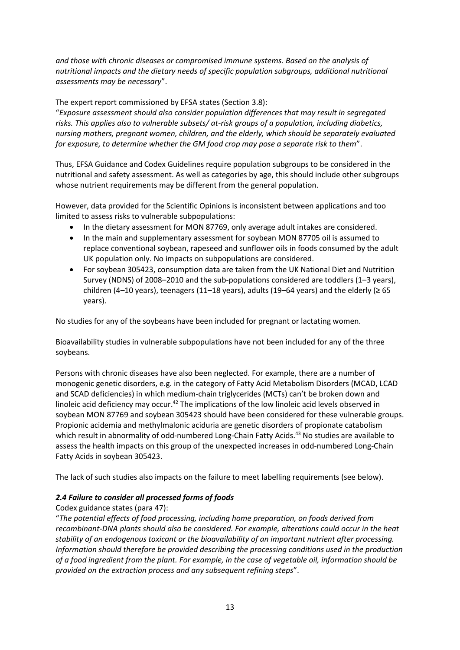*and those with chronic diseases or compromised immune systems. Based on the analysis of nutritional impacts and the dietary needs of specific population subgroups, additional nutritional assessments may be necessary*".

The expert report commissioned by EFSA states (Section 3.8):

"*Exposure assessment should also consider population differences that may result in segregated risks. This applies also to vulnerable subsets/ at-risk groups of a population, including diabetics, nursing mothers, pregnant women, children, and the elderly, which should be separately evaluated for exposure, to determine whether the GM food crop may pose a separate risk to them*".

Thus, EFSA Guidance and Codex Guidelines require population subgroups to be considered in the nutritional and safety assessment. As well as categories by age, this should include other subgroups whose nutrient requirements may be different from the general population.

However, data provided for the Scientific Opinions is inconsistent between applications and too limited to assess risks to vulnerable subpopulations:

- In the dietary assessment for MON 87769, only average adult intakes are considered.
- In the main and supplementary assessment for soybean MON 87705 oil is assumed to replace conventional soybean, rapeseed and sunflower oils in foods consumed by the adult UK population only. No impacts on subpopulations are considered.
- For soybean 305423, consumption data are taken from the UK National Diet and Nutrition Survey (NDNS) of 2008–2010 and the sub-populations considered are toddlers (1–3 years), children (4–10 years), teenagers (11–18 years), adults (19–64 years) and the elderly ( $\geq 65$ years).

No studies for any of the soybeans have been included for pregnant or lactating women.

Bioavailability studies in vulnerable subpopulations have not been included for any of the three soybeans.

Persons with chronic diseases have also been neglected. For example, there are a number of monogenic genetic disorders, e.g. in the category of Fatty Acid Metabolism Disorders (MCAD, LCAD and SCAD deficiencies) in which medium-chain triglycerides (MCTs) can't be broken down and linoleic acid deficiency may occur.<sup>42</sup> The implications of the low linoleic acid levels observed in soybean MON 87769 and soybean 305423 should have been considered for these vulnerable groups. Propionic acidemia and methylmalonic aciduria are genetic disorders of propionate catabolism which result in abnormality of odd-numbered Long-Chain Fatty Acids.<sup>43</sup> No studies are available to assess the health impacts on this group of the unexpected increases in odd-numbered Long-Chain Fatty Acids in soybean 305423.

The lack of such studies also impacts on the failure to meet labelling requirements (see below).

# *2.4 Failure to consider all processed forms of foods*

# Codex guidance states (para 47):

"*The potential effects of food processing, including home preparation, on foods derived from recombinant-DNA plants should also be considered. For example, alterations could occur in the heat stability of an endogenous toxicant or the bioavailability of an important nutrient after processing. Information should therefore be provided describing the processing conditions used in the production of a food ingredient from the plant. For example, in the case of vegetable oil, information should be provided on the extraction process and any subsequent refining steps*".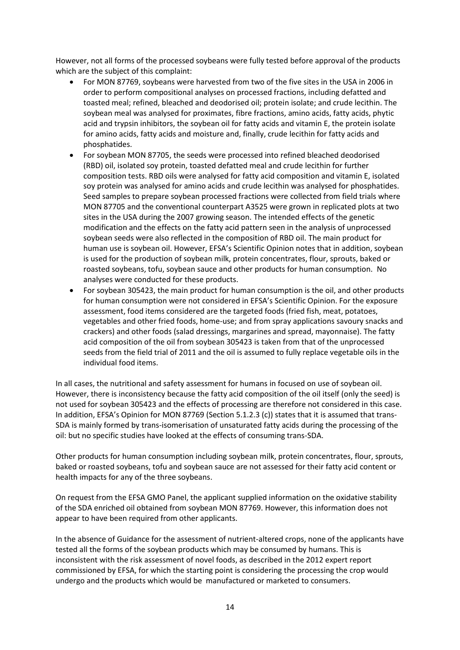However, not all forms of the processed soybeans were fully tested before approval of the products which are the subject of this complaint:

- For MON 87769, soybeans were harvested from two of the five sites in the USA in 2006 in order to perform compositional analyses on processed fractions, including defatted and toasted meal; refined, bleached and deodorised oil; protein isolate; and crude lecithin. The soybean meal was analysed for proximates, fibre fractions, amino acids, fatty acids, phytic acid and trypsin inhibitors, the soybean oil for fatty acids and vitamin E, the protein isolate for amino acids, fatty acids and moisture and, finally, crude lecithin for fatty acids and phosphatides.
- For soybean MON 87705, the seeds were processed into refined bleached deodorised (RBD) oil, isolated soy protein, toasted defatted meal and crude lecithin for further composition tests. RBD oils were analysed for fatty acid composition and vitamin E, isolated soy protein was analysed for amino acids and crude lecithin was analysed for phosphatides. Seed samples to prepare soybean processed fractions were collected from field trials where MON 87705 and the conventional counterpart A3525 were grown in replicated plots at two sites in the USA during the 2007 growing season. The intended effects of the genetic modification and the effects on the fatty acid pattern seen in the analysis of unprocessed soybean seeds were also reflected in the composition of RBD oil. The main product for human use is soybean oil. However, EFSA's Scientific Opinion notes that in addition, soybean is used for the production of soybean milk, protein concentrates, flour, sprouts, baked or roasted soybeans, tofu, soybean sauce and other products for human consumption. No analyses were conducted for these products.
- For soybean 305423, the main product for human consumption is the oil, and other products for human consumption were not considered in EFSA's Scientific Opinion. For the exposure assessment, food items considered are the targeted foods (fried fish, meat, potatoes, vegetables and other fried foods, home-use; and from spray applications savoury snacks and crackers) and other foods (salad dressings, margarines and spread, mayonnaise). The fatty acid composition of the oil from soybean 305423 is taken from that of the unprocessed seeds from the field trial of 2011 and the oil is assumed to fully replace vegetable oils in the individual food items.

In all cases, the nutritional and safety assessment for humans in focused on use of soybean oil. However, there is inconsistency because the fatty acid composition of the oil itself (only the seed) is not used for soybean 305423 and the effects of processing are therefore not considered in this case. In addition, EFSA's Opinion for MON 87769 (Section 5.1.2.3 (c)) states that it is assumed that trans-SDA is mainly formed by trans-isomerisation of unsaturated fatty acids during the processing of the oil: but no specific studies have looked at the effects of consuming trans-SDA.

Other products for human consumption including soybean milk, protein concentrates, flour, sprouts, baked or roasted soybeans, tofu and soybean sauce are not assessed for their fatty acid content or health impacts for any of the three soybeans.

On request from the EFSA GMO Panel, the applicant supplied information on the oxidative stability of the SDA enriched oil obtained from soybean MON 87769. However, this information does not appear to have been required from other applicants.

In the absence of Guidance for the assessment of nutrient-altered crops, none of the applicants have tested all the forms of the soybean products which may be consumed by humans. This is inconsistent with the risk assessment of novel foods, as described in the 2012 expert report commissioned by EFSA, for which the starting point is considering the processing the crop would undergo and the products which would be manufactured or marketed to consumers.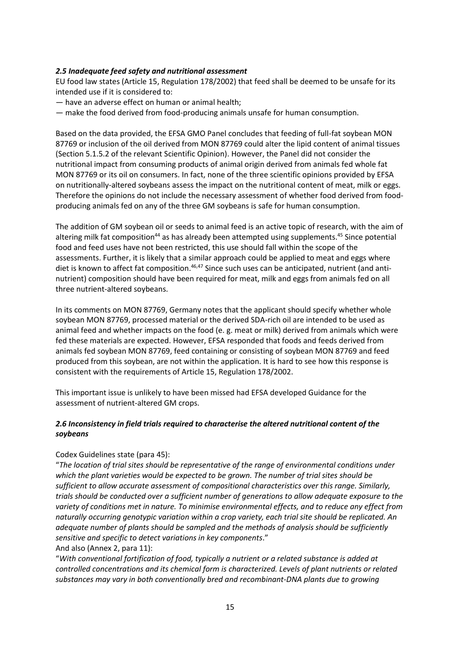#### *2.5 Inadequate feed safety and nutritional assessment*

EU food law states (Article 15, Regulation 178/2002) that feed shall be deemed to be unsafe for its intended use if it is considered to:

— have an adverse effect on human or animal health;

— make the food derived from food-producing animals unsafe for human consumption.

Based on the data provided, the EFSA GMO Panel concludes that feeding of full-fat soybean MON 87769 or inclusion of the oil derived from MON 87769 could alter the lipid content of animal tissues (Section 5.1.5.2 of the relevant Scientific Opinion). However, the Panel did not consider the nutritional impact from consuming products of animal origin derived from animals fed whole fat MON 87769 or its oil on consumers. In fact, none of the three scientific opinions provided by EFSA on nutritionally-altered soybeans assess the impact on the nutritional content of meat, milk or eggs. Therefore the opinions do not include the necessary assessment of whether food derived from foodproducing animals fed on any of the three GM soybeans is safe for human consumption.

The addition of GM soybean oil or seeds to animal feed is an active topic of research, with the aim of altering milk fat composition<sup>44</sup> as has already been attempted using supplements.<sup>45</sup> Since potential food and feed uses have not been restricted, this use should fall within the scope of the assessments. Further, it is likely that a similar approach could be applied to meat and eggs where diet is known to affect fat composition.<sup>46,47</sup> Since such uses can be anticipated, nutrient (and antinutrient) composition should have been required for meat, milk and eggs from animals fed on all three nutrient-altered soybeans.

In its comments on MON 87769, Germany notes that the applicant should specify whether whole soybean MON 87769, processed material or the derived SDA-rich oil are intended to be used as animal feed and whether impacts on the food (e. g. meat or milk) derived from animals which were fed these materials are expected. However, EFSA responded that foods and feeds derived from animals fed soybean MON 87769, feed containing or consisting of soybean MON 87769 and feed produced from this soybean, are not within the application. It is hard to see how this response is consistent with the requirements of Article 15, Regulation 178/2002.

This important issue is unlikely to have been missed had EFSA developed Guidance for the assessment of nutrient-altered GM crops.

# *2.6 Inconsistency in field trials required to characterise the altered nutritional content of the soybeans*

#### Codex Guidelines state (para 45):

"*The location of trial sites should be representative of the range of environmental conditions under which the plant varieties would be expected to be grown. The number of trial sites should be sufficient to allow accurate assessment of compositional characteristics over this range. Similarly, trials should be conducted over a sufficient number of generations to allow adequate exposure to the variety of conditions met in nature. To minimise environmental effects, and to reduce any effect from naturally occurring genotypic variation within a crop variety, each trial site should be replicated. An adequate number of plants should be sampled and the methods of analysis should be sufficiently sensitive and specific to detect variations in key components*."

#### And also (Annex 2, para 11):

"*With conventional fortification of food, typically a nutrient or a related substance is added at controlled concentrations and its chemical form is characterized. Levels of plant nutrients or related substances may vary in both conventionally bred and recombinant-DNA plants due to growing*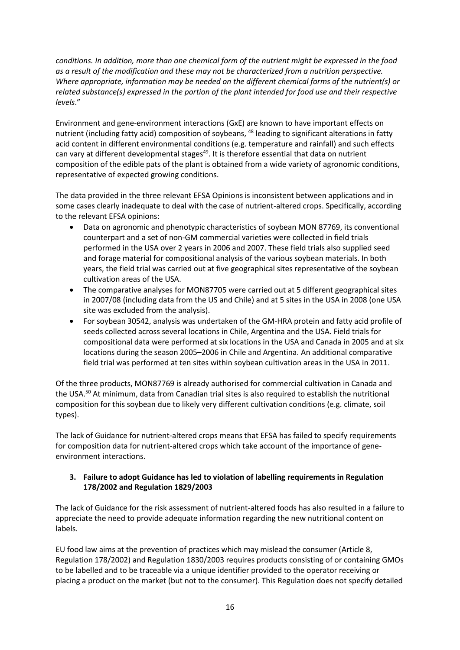*conditions. In addition, more than one chemical form of the nutrient might be expressed in the food as a result of the modification and these may not be characterized from a nutrition perspective. Where appropriate, information may be needed on the different chemical forms of the nutrient(s) or related substance(s) expressed in the portion of the plant intended for food use and their respective levels*."

Environment and gene-environment interactions (GxE) are known to have important effects on nutrient (including fatty acid) composition of soybeans, <sup>48</sup> leading to significant alterations in fatty acid content in different environmental conditions (e.g. temperature and rainfall) and such effects can vary at different developmental stages $49$ . It is therefore essential that data on nutrient composition of the edible pats of the plant is obtained from a wide variety of agronomic conditions, representative of expected growing conditions.

The data provided in the three relevant EFSA Opinions is inconsistent between applications and in some cases clearly inadequate to deal with the case of nutrient-altered crops. Specifically, according to the relevant EFSA opinions:

- Data on agronomic and phenotypic characteristics of soybean MON 87769, its conventional counterpart and a set of non-GM commercial varieties were collected in field trials performed in the USA over 2 years in 2006 and 2007. These field trials also supplied seed and forage material for compositional analysis of the various soybean materials. In both years, the field trial was carried out at five geographical sites representative of the soybean cultivation areas of the USA.
- The comparative analyses for MON87705 were carried out at 5 different geographical sites in 2007/08 (including data from the US and Chile) and at 5 sites in the USA in 2008 (one USA site was excluded from the analysis).
- For soybean 30542, analysis was undertaken of the GM-HRA protein and fatty acid profile of seeds collected across several locations in Chile, Argentina and the USA. Field trials for compositional data were performed at six locations in the USA and Canada in 2005 and at six locations during the season 2005–2006 in Chile and Argentina. An additional comparative field trial was performed at ten sites within soybean cultivation areas in the USA in 2011.

Of the three products, MON87769 is already authorised for commercial cultivation in Canada and the USA.<sup>50</sup> At minimum, data from Canadian trial sites is also required to establish the nutritional composition for this soybean due to likely very different cultivation conditions (e.g. climate, soil types).

The lack of Guidance for nutrient-altered crops means that EFSA has failed to specify requirements for composition data for nutrient-altered crops which take account of the importance of geneenvironment interactions.

# **3. Failure to adopt Guidance has led to violation of labelling requirements in Regulation 178/2002 and Regulation 1829/2003**

The lack of Guidance for the risk assessment of nutrient-altered foods has also resulted in a failure to appreciate the need to provide adequate information regarding the new nutritional content on labels.

EU food law aims at the prevention of practices which may mislead the consumer (Article 8, Regulation 178/2002) and Regulation 1830/2003 requires products consisting of or containing GMOs to be labelled and to be traceable via a unique identifier provided to the operator receiving or placing a product on the market (but not to the consumer). This Regulation does not specify detailed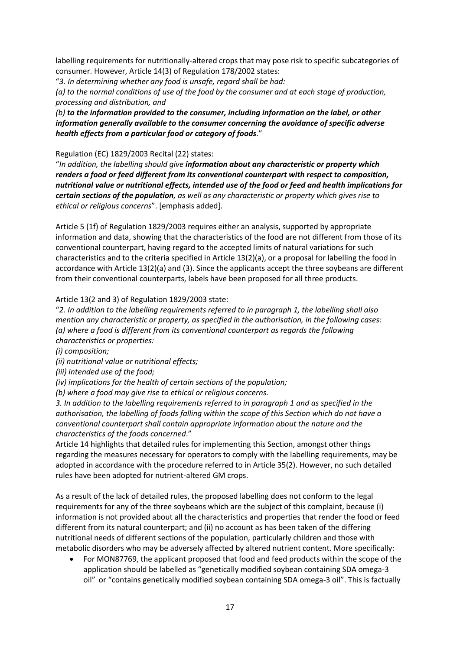labelling requirements for nutritionally-altered crops that may pose risk to specific subcategories of consumer. However, Article 14(3) of Regulation 178/2002 states:

"*3. In determining whether any food is unsafe, regard shall be had:*

*(a) to the normal conditions of use of the food by the consumer and at each stage of production, processing and distribution, and*

*(b) to the information provided to the consumer, including information on the label, or other information generally available to the consumer concerning the avoidance of specific adverse health effects from a particular food or category of foods.*"

Regulation (EC) 1829/2003 Recital (22) states:

"*In addition, the labelling should give information about any characteristic or property which renders a food or feed different from its conventional counterpart with respect to composition, nutritional value or nutritional effects, intended use of the food or feed and health implications for certain sections of the population, as well as any characteristic or property which gives rise to ethical or religious concerns*". [emphasis added].

Article 5 (1f) of Regulation 1829/2003 requires either an analysis, supported by appropriate information and data, showing that the characteristics of the food are not different from those of its conventional counterpart, having regard to the accepted limits of natural variations for such characteristics and to the criteria specified in Article 13(2)(a), or a proposal for labelling the food in accordance with Article 13(2)(a) and (3). Since the applicants accept the three soybeans are different from their conventional counterparts, labels have been proposed for all three products.

Article 13(2 and 3) of Regulation 1829/2003 state:

"*2. In addition to the labelling requirements referred to in paragraph 1, the labelling shall also mention any characteristic or property, as specified in the authorisation, in the following cases: (a) where a food is different from its conventional counterpart as regards the following characteristics or properties:*

*(i) composition;*

*(ii) nutritional value or nutritional effects;*

*(iii) intended use of the food;*

*(iv) implications for the health of certain sections of the population;*

*(b) where a food may give rise to ethical or religious concerns.*

*3. In addition to the labelling requirements referred to in paragraph 1 and as specified in the authorisation, the labelling of foods falling within the scope of this Section which do not have a conventional counterpart shall contain appropriate information about the nature and the characteristics of the foods concerned*."

Article 14 highlights that detailed rules for implementing this Section, amongst other things regarding the measures necessary for operators to comply with the labelling requirements, may be adopted in accordance with the procedure referred to in Article 35(2). However, no such detailed rules have been adopted for nutrient-altered GM crops.

As a result of the lack of detailed rules, the proposed labelling does not conform to the legal requirements for any of the three soybeans which are the subject of this complaint, because (i) information is not provided about all the characteristics and properties that render the food or feed different from its natural counterpart; and (ii) no account as has been taken of the differing nutritional needs of different sections of the population, particularly children and those with metabolic disorders who may be adversely affected by altered nutrient content. More specifically:

 For MON87769, the applicant proposed that food and feed products within the scope of the application should be labelled as "genetically modified soybean containing SDA omega-3 oil" or "contains genetically modified soybean containing SDA omega-3 oil". This is factually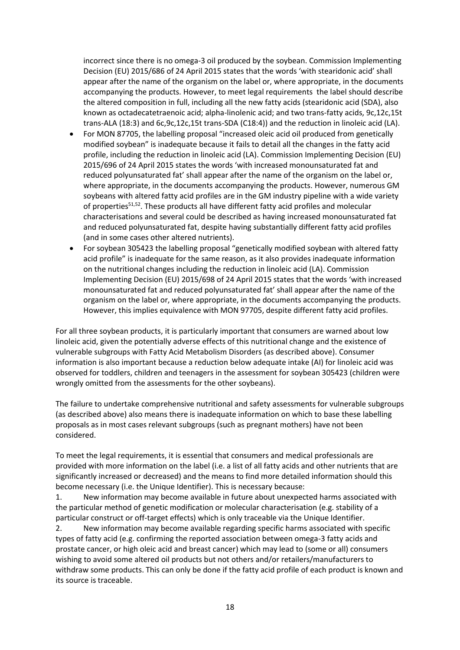incorrect since there is no omega-3 oil produced by the soybean. Commission Implementing Decision (EU) 2015/686 of 24 April 2015 states that the words 'with stearidonic acid' shall appear after the name of the organism on the label or, where appropriate, in the documents accompanying the products. However, to meet legal requirements the label should describe the altered composition in full, including all the new fatty acids (stearidonic acid (SDA), also known as octadecatetraenoic acid; alpha-linolenic acid; and two trans-fatty acids, 9c,12c,15t trans-ALA (18:3) and 6c,9c,12c,15t trans-SDA (C18:4)) and the reduction in linoleic acid (LA).

- For MON 87705, the labelling proposal "increased oleic acid oil produced from genetically modified soybean" is inadequate because it fails to detail all the changes in the fatty acid profile, including the reduction in linoleic acid (LA). Commission Implementing Decision (EU) 2015/696 of 24 April 2015 states the words 'with increased monounsaturated fat and reduced polyunsaturated fat' shall appear after the name of the organism on the label or, where appropriate, in the documents accompanying the products. However, numerous GM soybeans with altered fatty acid profiles are in the GM industry pipeline with a wide variety of properties<sup>51,52</sup>. These products all have different fatty acid profiles and molecular characterisations and several could be described as having increased monounsaturated fat and reduced polyunsaturated fat, despite having substantially different fatty acid profiles (and in some cases other altered nutrients).
- For soybean 305423 the labelling proposal "genetically modified soybean with altered fatty acid profile" is inadequate for the same reason, as it also provides inadequate information on the nutritional changes including the reduction in linoleic acid (LA). Commission Implementing Decision (EU) 2015/698 of 24 April 2015 states that the words 'with increased monounsaturated fat and reduced polyunsaturated fat' shall appear after the name of the organism on the label or, where appropriate, in the documents accompanying the products. However, this implies equivalence with MON 97705, despite different fatty acid profiles.

For all three soybean products, it is particularly important that consumers are warned about low linoleic acid, given the potentially adverse effects of this nutritional change and the existence of vulnerable subgroups with Fatty Acid Metabolism Disorders (as described above). Consumer information is also important because a reduction below adequate intake (AI) for linoleic acid was observed for toddlers, children and teenagers in the assessment for soybean 305423 (children were wrongly omitted from the assessments for the other soybeans).

The failure to undertake comprehensive nutritional and safety assessments for vulnerable subgroups (as described above) also means there is inadequate information on which to base these labelling proposals as in most cases relevant subgroups (such as pregnant mothers) have not been considered.

To meet the legal requirements, it is essential that consumers and medical professionals are provided with more information on the label (i.e. a list of all fatty acids and other nutrients that are significantly increased or decreased) and the means to find more detailed information should this become necessary (i.e. the Unique Identifier). This is necessary because:

1. New information may become available in future about unexpected harms associated with the particular method of genetic modification or molecular characterisation (e.g. stability of a particular construct or off-target effects) which is only traceable via the Unique Identifier.

2. New information may become available regarding specific harms associated with specific types of fatty acid (e.g. confirming the reported association between omega-3 fatty acids and prostate cancer, or high oleic acid and breast cancer) which may lead to (some or all) consumers wishing to avoid some altered oil products but not others and/or retailers/manufacturers to withdraw some products. This can only be done if the fatty acid profile of each product is known and its source is traceable.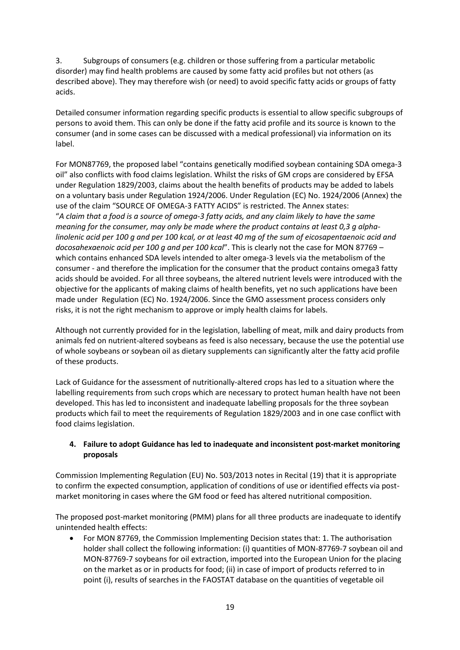3. Subgroups of consumers (e.g. children or those suffering from a particular metabolic disorder) may find health problems are caused by some fatty acid profiles but not others (as described above). They may therefore wish (or need) to avoid specific fatty acids or groups of fatty acids.

Detailed consumer information regarding specific products is essential to allow specific subgroups of persons to avoid them. This can only be done if the fatty acid profile and its source is known to the consumer (and in some cases can be discussed with a medical professional) via information on its label.

For MON87769, the proposed label "contains genetically modified soybean containing SDA omega-3 oil" also conflicts with food claims legislation. Whilst the risks of GM crops are considered by EFSA under Regulation 1829/2003, claims about the health benefits of products may be added to labels on a voluntary basis under Regulation 1924/2006. Under Regulation (EC) No. 1924/2006 (Annex) the use of the claim "SOURCE OF OMEGA-3 FATTY ACIDS" is restricted. The Annex states: "*A claim that a food is a source of omega-3 fatty acids, and any claim likely to have the same meaning for the consumer, may only be made where the product contains at least 0,3 g alphalinolenic acid per 100 g and per 100 kcal, or at least 40 mg of the sum of eicosapentaenoic acid and docosahexaenoic acid per 100 g and per 100 kcal*". This is clearly not the case for MON 87769 – which contains enhanced SDA levels intended to alter omega-3 levels via the metabolism of the consumer - and therefore the implication for the consumer that the product contains omega3 fatty acids should be avoided. For all three soybeans, the altered nutrient levels were introduced with the objective for the applicants of making claims of health benefits, yet no such applications have been made under Regulation (EC) No. 1924/2006. Since the GMO assessment process considers only risks, it is not the right mechanism to approve or imply health claims for labels.

Although not currently provided for in the legislation, labelling of meat, milk and dairy products from animals fed on nutrient-altered soybeans as feed is also necessary, because the use the potential use of whole soybeans or soybean oil as dietary supplements can significantly alter the fatty acid profile of these products.

Lack of Guidance for the assessment of nutritionally-altered crops has led to a situation where the labelling requirements from such crops which are necessary to protect human health have not been developed. This has led to inconsistent and inadequate labelling proposals for the three soybean products which fail to meet the requirements of Regulation 1829/2003 and in one case conflict with food claims legislation.

# **4. Failure to adopt Guidance has led to inadequate and inconsistent post-market monitoring proposals**

Commission Implementing Regulation (EU) No. 503/2013 notes in Recital (19) that it is appropriate to confirm the expected consumption, application of conditions of use or identified effects via postmarket monitoring in cases where the GM food or feed has altered nutritional composition.

The proposed post-market monitoring (PMM) plans for all three products are inadequate to identify unintended health effects:

 For MON 87769, the Commission Implementing Decision states that: 1. The authorisation holder shall collect the following information: (i) quantities of MON-87769-7 soybean oil and MON-87769-7 soybeans for oil extraction, imported into the European Union for the placing on the market as or in products for food; (ii) in case of import of products referred to in point (i), results of searches in the FAOSTAT database on the quantities of vegetable oil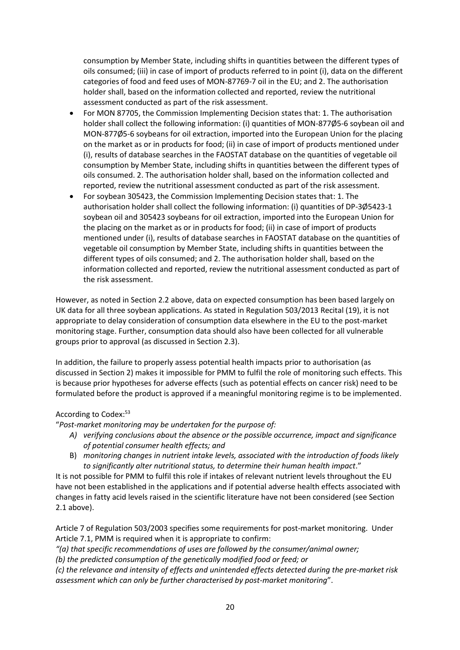consumption by Member State, including shifts in quantities between the different types of oils consumed; (iii) in case of import of products referred to in point (i), data on the different categories of food and feed uses of MON-87769-7 oil in the EU; and 2. The authorisation holder shall, based on the information collected and reported, review the nutritional assessment conducted as part of the risk assessment.

- For MON 87705, the Commission Implementing Decision states that: 1. The authorisation holder shall collect the following information: (i) quantities of MON-877Ø5-6 soybean oil and MON-877Ø5-6 soybeans for oil extraction, imported into the European Union for the placing on the market as or in products for food; (ii) in case of import of products mentioned under (i), results of database searches in the FAOSTAT database on the quantities of vegetable oil consumption by Member State, including shifts in quantities between the different types of oils consumed. 2. The authorisation holder shall, based on the information collected and reported, review the nutritional assessment conducted as part of the risk assessment.
- For soybean 305423, the Commission Implementing Decision states that: 1. The authorisation holder shall collect the following information: (i) quantities of DP-3Ø5423-1 soybean oil and 305423 soybeans for oil extraction, imported into the European Union for the placing on the market as or in products for food; (ii) in case of import of products mentioned under (i), results of database searches in FAOSTAT database on the quantities of vegetable oil consumption by Member State, including shifts in quantities between the different types of oils consumed; and 2. The authorisation holder shall, based on the information collected and reported, review the nutritional assessment conducted as part of the risk assessment.

However, as noted in Section 2.2 above, data on expected consumption has been based largely on UK data for all three soybean applications. As stated in Regulation 503/2013 Recital (19), it is not appropriate to delay consideration of consumption data elsewhere in the EU to the post-market monitoring stage. Further, consumption data should also have been collected for all vulnerable groups prior to approval (as discussed in Section 2.3).

In addition, the failure to properly assess potential health impacts prior to authorisation (as discussed in Section 2) makes it impossible for PMM to fulfil the role of monitoring such effects. This is because prior hypotheses for adverse effects (such as potential effects on cancer risk) need to be formulated before the product is approved if a meaningful monitoring regime is to be implemented.

#### According to Codex:<sup>53</sup>

"*Post-market monitoring may be undertaken for the purpose of:*

- *A) verifying conclusions about the absence or the possible occurrence, impact and significance of potential consumer health effects; and*
- B) *monitoring changes in nutrient intake levels, associated with the introduction of foods likely to significantly alter nutritional status, to determine their human health impact*."

It is not possible for PMM to fulfil this role if intakes of relevant nutrient levels throughout the EU have not been established in the applications and if potential adverse health effects associated with changes in fatty acid levels raised in the scientific literature have not been considered (see Section 2.1 above).

Article 7 of Regulation 503/2003 specifies some requirements for post-market monitoring. Under Article 7.1, PMM is required when it is appropriate to confirm:

*"(a) that specific recommendations of uses are followed by the consumer/animal owner;*

*(b) the predicted consumption of the genetically modified food or feed; or*

*(c) the relevance and intensity of effects and unintended effects detected during the pre-market risk assessment which can only be further characterised by post-market monitoring*".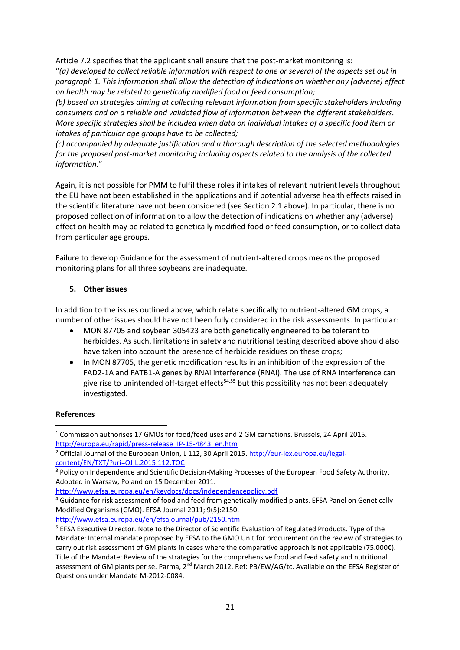Article 7.2 specifies that the applicant shall ensure that the post-market monitoring is: "*(a) developed to collect reliable information with respect to one or several of the aspects set out in paragraph 1. This information shall allow the detection of indications on whether any (adverse) effect on health may be related to genetically modified food or feed consumption;*

*(b) based on strategies aiming at collecting relevant information from specific stakeholders including consumers and on a reliable and validated flow of information between the different stakeholders. More specific strategies shall be included when data on individual intakes of a specific food item or intakes of particular age groups have to be collected;*

*(c) accompanied by adequate justification and a thorough description of the selected methodologies for the proposed post-market monitoring including aspects related to the analysis of the collected information*."

Again, it is not possible for PMM to fulfil these roles if intakes of relevant nutrient levels throughout the EU have not been established in the applications and if potential adverse health effects raised in the scientific literature have not been considered (see Section 2.1 above). In particular, there is no proposed collection of information to allow the detection of indications on whether any (adverse) effect on health may be related to genetically modified food or feed consumption, or to collect data from particular age groups.

Failure to develop Guidance for the assessment of nutrient-altered crops means the proposed monitoring plans for all three soybeans are inadequate.

# **5. Other issues**

In addition to the issues outlined above, which relate specifically to nutrient-altered GM crops, a number of other issues should have not been fully considered in the risk assessments. In particular:

- MON 87705 and soybean 305423 are both genetically engineered to be tolerant to herbicides. As such, limitations in safety and nutritional testing described above should also have taken into account the presence of herbicide residues on these crops;
- In MON 87705, the genetic modification results in an inhibition of the expression of the FAD2-1A and FATB1-A genes by RNAi interference (RNAi). The use of RNA interference can give rise to unintended off-target effects<sup>54,55</sup> but this possibility has not been adequately investigated.

# **References**

1

<http://www.efsa.europa.eu/en/efsajournal/pub/2150.htm>

<sup>1</sup> Commission authorises 17 GMOs for food/feed uses and 2 GM carnations. Brussels, 24 April 2015. [http://europa.eu/rapid/press-release\\_IP-15-4843\\_en.htm](http://europa.eu/rapid/press-release_IP-15-4843_en.htm)

<sup>&</sup>lt;sup>2</sup> Official Journal of the European Union, L 112, 30 April 2015[. http://eur-lex.europa.eu/legal](http://eur-lex.europa.eu/legal-content/EN/TXT/?uri=OJ:L:2015:112:TOC)[content/EN/TXT/?uri=OJ:L:2015:112:TOC](http://eur-lex.europa.eu/legal-content/EN/TXT/?uri=OJ:L:2015:112:TOC)

<sup>&</sup>lt;sup>3</sup> Policy on Independence and Scientific Decision-Making Processes of the European Food Safety Authority. Adopted in Warsaw, Poland on 15 December 2011.

<http://www.efsa.europa.eu/en/keydocs/docs/independencepolicy.pdf>

<sup>4</sup> Guidance for risk assessment of food and feed from genetically modified plants. EFSA Panel on Genetically Modified Organisms (GMO). EFSA Journal 2011; 9(5):2150.

<sup>5</sup> EFSA Executive Director. Note to the Director of Scientific Evaluation of Regulated Products. Type of the Mandate: Internal mandate proposed by EFSA to the GMO Unit for procurement on the review of strategies to carry out risk assessment of GM plants in cases where the comparative approach is not applicable (75.000€). Title of the Mandate: Review of the strategies for the comprehensive food and feed safety and nutritional assessment of GM plants per se. Parma, 2<sup>nd</sup> March 2012. Ref: PB/EW/AG/tc. Available on the EFSA Register of Questions under Mandate M-2012-0084.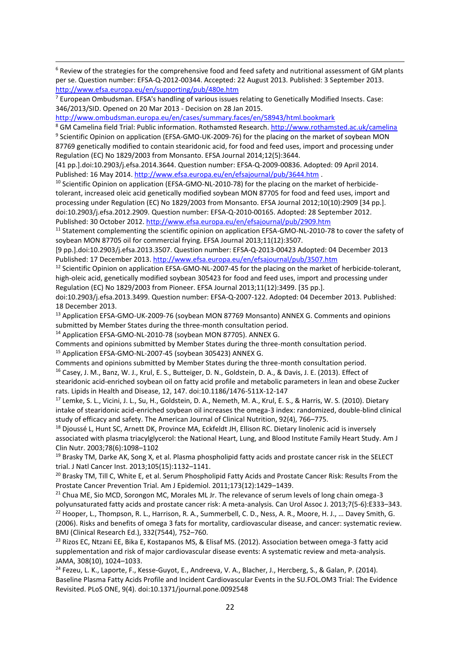<sup>6</sup> Review of the strategies for the comprehensive food and feed safety and nutritional assessment of GM plants per se. Question number: EFSA-Q-2012-00344. Accepted: 22 August 2013. Published: 3 September 2013. <http://www.efsa.europa.eu/en/supporting/pub/480e.htm>

<sup>7</sup> European Ombudsman. EFSA's handling of various issues relating to Genetically Modified Insects. Case: 346/2013/SID. Opened on 20 Mar 2013 - Decision on 28 Jan 2015.

<http://www.ombudsman.europa.eu/en/cases/summary.faces/en/58943/html.bookmark>

1

<sup>8</sup> GM Camelina field Trial: Public information. Rothamsted Research.<http://www.rothamsted.ac.uk/camelina>

<sup>9</sup> Scientific Opinion on application (EFSA-GMO-UK-2009-76) for the placing on the market of soybean MON 87769 genetically modified to contain stearidonic acid, for food and feed uses, import and processing under Regulation (EC) No 1829/2003 from Monsanto. EFSA Journal 2014;12(5):3644.

[41 pp.].doi:10.2903/j.efsa.2014.3644. Question number: EFSA-Q-2009-00836. Adopted: 09 April 2014. Published: 16 May 2014.<http://www.efsa.europa.eu/en/efsajournal/pub/3644.htm>.

<sup>10</sup> Scientific Opinion on application (EFSA-GMO-NL-2010-78) for the placing on the market of herbicidetolerant, increased oleic acid genetically modified soybean MON 87705 for food and feed uses, import and processing under Regulation (EC) No 1829/2003 from Monsanto. EFSA Journal 2012;10(10):2909 [34 pp.]. doi:10.2903/j.efsa.2012.2909. Question number: EFSA-Q-2010-00165. Adopted: 28 September 2012.

Published: 30 October 2012[. http://www.efsa.europa.eu/en/efsajournal/pub/2909.htm](http://www.efsa.europa.eu/en/efsajournal/pub/2909.htm)

<sup>11</sup> Statement complementing the scientific opinion on application EFSA-GMO-NL-2010-78 to cover the safety of soybean MON 87705 oil for commercial frying. EFSA Journal 2013;11(12):3507.

[9 pp.].doi:10.2903/j.efsa.2013.3507. Question number: EFSA-Q-2013-00423 Adopted: 04 December 2013 Published: 17 December 2013[. http://www.efsa.europa.eu/en/efsajournal/pub/3507.htm](http://www.efsa.europa.eu/en/efsajournal/pub/3507.htm)

<sup>12</sup> Scientific Opinion on application EFSA-GMO-NL-2007-45 for the placing on the market of herbicide-tolerant, high-oleic acid, genetically modified soybean 305423 for food and feed uses, import and processing under Regulation (EC) No 1829/2003 from Pioneer. EFSA Journal 2013;11(12):3499. [35 pp.].

doi:10.2903/j.efsa.2013.3499. Question number: EFSA-Q-2007-122. Adopted: 04 December 2013. Published: 18 December 2013.

<sup>13</sup> Application EFSA-GMO-UK-2009-76 (soybean MON 87769 Monsanto) ANNEX G. Comments and opinions submitted by Member States during the three-month consultation period.

<sup>14</sup> Application EFSA-GMO-NL-2010-78 (soybean MON 87705). ANNEX G.

Comments and opinions submitted by Member States during the three-month consultation period.

<sup>15</sup> Application EFSA-GMO-NL-2007-45 (soybean 305423) ANNEX G.

Comments and opinions submitted by Member States during the three-month consultation period.

<sup>16</sup> Casey, J. M., Banz, W. J., Krul, E. S., Butteiger, D. N., Goldstein, D. A., & Davis, J. E. (2013). Effect of stearidonic acid-enriched soybean oil on fatty acid profile and metabolic parameters in lean and obese Zucker rats. Lipids in Health and Disease, 12, 147. doi:10.1186/1476-511X-12-147

<sup>17</sup> Lemke, S. L., Vicini, J. L., Su, H., Goldstein, D. A., Nemeth, M. A., Krul, E. S., & Harris, W. S. (2010). Dietary intake of stearidonic acid-enriched soybean oil increases the omega-3 index: randomized, double-blind clinical study of efficacy and safety. The American Journal of Clinical Nutrition, 92(4), 766–775.

<sup>18</sup> Dioussé L, Hunt SC, Arnett DK, Province MA, Eckfeldt JH, Ellison RC, Dietary linolenic acid is inversely associated with plasma triacylglycerol: the National Heart, Lung, and Blood Institute Family Heart Study. Am J Clin Nutr. 2003;78(6):1098–1102

 $19$  Brasky TM, Darke AK, Song X, et al. Plasma phospholipid fatty acids and prostate cancer risk in the SELECT trial. J Natl Cancer Inst. 2013;105(15):1132–1141.

<sup>20</sup> Brasky TM, Till C, White E, et al. Serum Phospholipid Fatty Acids and Prostate Cancer Risk: Results From the Prostate Cancer Prevention Trial. Am J Epidemiol. 2011;173(12):1429–1439.

<sup>21</sup> Chua ME, Sio MCD, Sorongon MC, Morales ML Jr. The relevance of serum levels of long chain omega-3 polyunsaturated fatty acids and prostate cancer risk: A meta-analysis. Can Urol Assoc J. 2013;7(5-6):E333–343. <sup>22</sup> Hooper, L., Thompson, R. L., Harrison, R. A., Summerbell, C. D., Ness, A. R., Moore, H. J., ... Davey Smith, G. (2006). Risks and benefits of omega 3 fats for mortality, cardiovascular disease, and cancer: systematic review. BMJ (Clinical Research Ed.), 332(7544), 752–760.

<sup>23</sup> Rizos EC, Ntzani EE, Bika E, Kostapanos MS, & Elisaf MS. (2012). Association between omega-3 fatty acid supplementation and risk of major cardiovascular disease events: A systematic review and meta-analysis. JAMA, 308(10), 1024–1033.

<sup>24</sup> Fezeu, L. K., Laporte, F., Kesse-Guyot, E., Andreeva, V. A., Blacher, J., Hercberg, S., & Galan, P. (2014). Baseline Plasma Fatty Acids Profile and Incident Cardiovascular Events in the SU.FOL.OM3 Trial: The Evidence Revisited. PLoS ONE, 9(4). doi:10.1371/journal.pone.0092548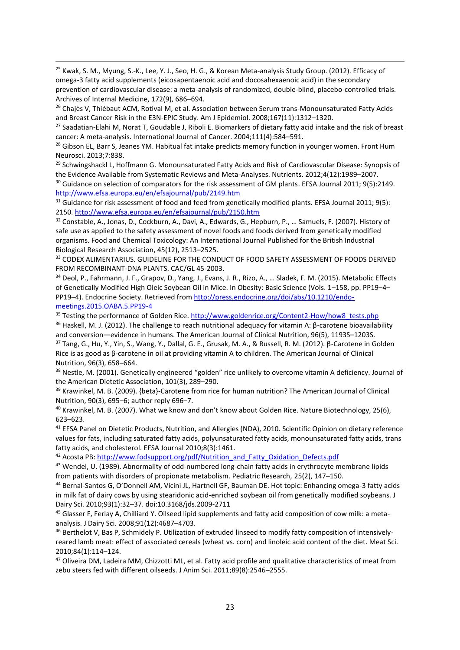<sup>25</sup> Kwak, S. M., Myung, S.-K., Lee, Y. J., Seo, H. G., & Korean Meta-analysis Study Group. (2012). Efficacy of omega-3 fatty acid supplements (eicosapentaenoic acid and docosahexaenoic acid) in the secondary prevention of cardiovascular disease: a meta-analysis of randomized, double-blind, placebo-controlled trials. Archives of Internal Medicine, 172(9), 686–694.

1

<sup>26</sup> Chaiès V, Thiébaut ACM, Rotival M, et al. Association between Serum trans-Monounsaturated Fatty Acids and Breast Cancer Risk in the E3N-EPIC Study. Am J Epidemiol. 2008;167(11):1312–1320.

<sup>27</sup> Saadatian-Elahi M, Norat T, Goudable J, Riboli E. Biomarkers of dietary fatty acid intake and the risk of breast cancer: A meta-analysis. International Journal of Cancer. 2004;111(4):584–591.

<sup>28</sup> Gibson EL, Barr S, Jeanes YM. Habitual fat intake predicts memory function in younger women. Front Hum Neurosci. 2013;7:838.

<sup>29</sup> Schwingshackl L, Hoffmann G. Monounsaturated Fatty Acids and Risk of Cardiovascular Disease: Synopsis of the Evidence Available from Systematic Reviews and Meta-Analyses. Nutrients. 2012;4(12):1989–2007.

<sup>30</sup> Guidance on selection of comparators for the risk assessment of GM plants. EFSA Journal 2011; 9(5):2149. <http://www.efsa.europa.eu/en/efsajournal/pub/2149.htm>

<sup>31</sup> Guidance for risk assessment of food and feed from genetically modified plants. EFSA Journal 2011; 9(5): 2150.<http://www.efsa.europa.eu/en/efsajournal/pub/2150.htm>

32 Constable, A., Jonas, D., Cockburn, A., Davi, A., Edwards, G., Hepburn, P., ... Samuels, F. (2007). History of safe use as applied to the safety assessment of novel foods and foods derived from genetically modified organisms. Food and Chemical Toxicology: An International Journal Published for the British Industrial Biological Research Association, 45(12), 2513–2525.

33 CODEX ALIMENTARIUS. GUIDELINE FOR THE CONDUCT OF FOOD SAFETY ASSESSMENT OF FOODS DERIVED FROM RECOMBINANT-DNA PLANTS. CAC/GL 45-2003.

34 Deol, P., Fahrmann, J. F., Grapov, D., Yang, J., Evans, J. R., Rizo, A., ... Sladek, F. M. (2015). Metabolic Effects of Genetically Modified High Oleic Soybean Oil in Mice. In Obesity: Basic Science (Vols. 1–158, pp. PP19–4– PP19–4). Endocrine Society. Retrieved from [http://press.endocrine.org/doi/abs/10.1210/endo](http://press.endocrine.org/doi/abs/10.1210/endo-meetings.2015.OABA.5.PP19-4)[meetings.2015.OABA.5.PP19-4](http://press.endocrine.org/doi/abs/10.1210/endo-meetings.2015.OABA.5.PP19-4)

<sup>35</sup> Testing the performance of Golden Rice. [http://www.goldenrice.org/Content2-How/how8\\_tests.php](http://www.goldenrice.org/Content2-How/how8_tests.php)

<sup>36</sup> Haskell, M. J. (2012). The challenge to reach nutritional adequacy for vitamin A: β-carotene bioavailability and conversion—evidence in humans. The American Journal of Clinical Nutrition, 96(5), 1193S–1203S.

<sup>37</sup> Tang, G., Hu, Y., Yin, S., Wang, Y., Dallal, G. E., Grusak, M. A., & Russell, R. M. (2012). β-Carotene in Golden Rice is as good as β-carotene in oil at providing vitamin A to children. The American Journal of Clinical Nutrition, 96(3), 658–664.

<sup>38</sup> Nestle, M. (2001). Genetically engineered "golden" rice unlikely to overcome vitamin A deficiency. Journal of the American Dietetic Association, 101(3), 289–290.

<sup>39</sup> Krawinkel, M. B. (2009). {beta}-Carotene from rice for human nutrition? The American Journal of Clinical Nutrition, 90(3), 695–6; author reply 696–7.

<sup>40</sup> Krawinkel, M. B. (2007). What we know and don't know about Golden Rice. Nature Biotechnology, 25(6), 623–623.

<sup>41</sup> EFSA Panel on Dietetic Products, Nutrition, and Allergies (NDA), 2010. Scientific Opinion on dietary reference values for fats, including saturated fatty acids, polyunsaturated fatty acids, monounsaturated fatty acids, trans fatty acids, and cholesterol. EFSA Journal 2010;8(3):1461.

<sup>42</sup> Acosta PB: [http://www.fodsupport.org/pdf/Nutrition\\_and\\_Fatty\\_Oxidation\\_Defects.pdf](http://www.fodsupport.org/pdf/Nutrition_and_Fatty_Oxidation_Defects.pdf)

<sup>43</sup> Wendel, U. (1989). Abnormality of odd-numbered long-chain fatty acids in erythrocyte membrane lipids from patients with disorders of propionate metabolism. Pediatric Research, 25(2), 147–150.

<sup>44</sup> Bernal-Santos G, O'Donnell AM, Vicini JL, Hartnell GF, Bauman DE. Hot topic: Enhancing omega-3 fatty acids in milk fat of dairy cows by using stearidonic acid-enriched soybean oil from genetically modified soybeans. J Dairy Sci. 2010;93(1):32–37. doi:10.3168/jds.2009-2711

<sup>45</sup> Glasser F, Ferlay A, Chilliard Y. Oilseed lipid supplements and fatty acid composition of cow milk: a metaanalysis. J Dairy Sci. 2008;91(12):4687–4703.

<sup>46</sup> Berthelot V, Bas P, Schmidely P. Utilization of extruded linseed to modify fatty composition of intensivelyreared lamb meat: effect of associated cereals (wheat vs. corn) and linoleic acid content of the diet. Meat Sci. 2010;84(1):114–124.

<sup>47</sup> Oliveira DM, Ladeira MM, Chizzotti ML, et al. Fatty acid profile and qualitative characteristics of meat from zebu steers fed with different oilseeds. J Anim Sci. 2011;89(8):2546–2555.